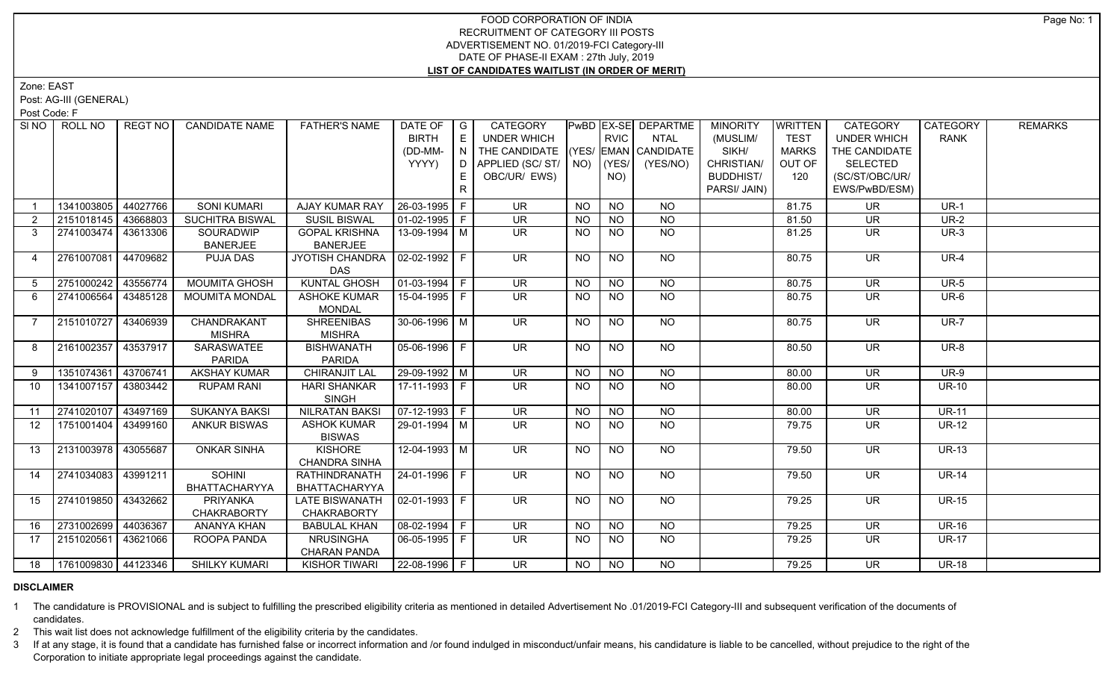# FOOD CORPORATION OF INDIA RECRUITMENT OF CATEGORY III POSTS ADVERTISEMENT NO. 01/2019-FCI Category-III DATE OF PHASE-II EXAM : 27th July, 2019 **LIST OF CANDIDATES WAITLIST (IN ORDER OF MERIT)**

Zone: EAST

Post: AG-III (GENERAL)

Post Code: F

| SI NO 1        | ROLL NO                    | REGT NO  | <b>CANDIDATE NAME</b>  | <b>FATHER'S NAME</b>  | DATE OF              | $\overline{\phantom{a}}$ G | CATEGORY                           |           |                | PwBD EX-SE DEPARTME | <b>MINORITY</b>  | <b>WRITTEN</b> | CATEGORY                 | CATEGORY     | <b>REMARKS</b> |
|----------------|----------------------------|----------|------------------------|-----------------------|----------------------|----------------------------|------------------------------------|-----------|----------------|---------------------|------------------|----------------|--------------------------|--------------|----------------|
|                |                            |          |                        |                       | <b>BIRTH</b>         | E                          | <b>UNDER WHICH</b>                 |           | <b>RVIC</b>    | <b>NTAL</b>         | (MUSLIM/         | <b>TEST</b>    | <b>UNDER WHICH</b>       | <b>RANK</b>  |                |
|                |                            |          |                        |                       | (DD-MM-              | N.                         | THE CANDIDATE (YES/ EMAN CANDIDATE |           |                |                     | SIKH/            | <b>MARKS</b>   | THE CANDIDATE            |              |                |
|                |                            |          |                        |                       | YYYY)                | D                          | APPLIED (SC/ST/                    | NO)       | YES/           | (YES/NO)            | CHRISTIAN/       | OUT OF         | <b>SELECTED</b>          |              |                |
|                |                            |          |                        |                       |                      | E.                         | OBC/UR/ EWS)                       |           | NO)            |                     | <b>BUDDHIST/</b> | 120            | (SC/ST/OBC/UR/           |              |                |
|                |                            |          |                        |                       |                      | R                          |                                    |           |                |                     | PARSI/ JAIN)     |                | EWS/PwBD/ESM)            |              |                |
|                | 1341003805                 | 44027766 | <b>SONI KUMARI</b>     | AJAY KUMAR RAY        | 26-03-1995 F         |                            | <b>UR</b>                          | <b>NO</b> | <b>NO</b>      | <b>NO</b>           |                  | 81.75          | <b>UR</b>                | $UR-1$       |                |
| $\overline{2}$ | 2151018145 43668803        |          | <b>SUCHITRA BISWAL</b> | <b>SUSIL BISWAL</b>   | $01-02-1995$ F       |                            | <b>UR</b>                          | <b>NO</b> | <b>NO</b>      | <b>NO</b>           |                  | 81.50          | UR                       | <b>UR-2</b>  |                |
| 3              | 2741003474 43613306        |          | SOURADWIP              | <b>GOPAL KRISHNA</b>  | 13-09-1994 M         |                            | UR                                 | <b>NO</b> | NO             | N <sub>O</sub>      |                  | 81.25          | <b>UR</b>                | $UR-3$       |                |
|                |                            |          | <b>BANERJEE</b>        | <b>BANERJEE</b>       |                      |                            |                                    |           |                |                     |                  |                |                          |              |                |
| 4              | 2761007081                 | 44709682 | <b>PUJA DAS</b>        | JYOTISH CHANDRA       | $02 - 02 - 1992$ F   |                            | <b>UR</b>                          | <b>NO</b> | <b>NO</b>      | <b>NO</b>           |                  | 80.75          | <b>UR</b>                | <b>UR-4</b>  |                |
|                |                            |          |                        | <b>DAS</b>            |                      |                            |                                    |           |                |                     |                  |                |                          |              |                |
| 5              | 2751000242                 | 43556774 | <b>MOUMITA GHOSH</b>   | <b>KUNTAL GHOSH</b>   | $01-03-1994$ F       |                            | $\overline{\mathsf{UR}}$           | NO.       | $\overline{N}$ | $\overline{NQ}$     |                  | 80.75          | $\overline{\mathsf{UR}}$ | $UR-5$       |                |
| 6              | 2741006564                 | 43485128 | <b>MOUMITA MONDAL</b>  | <b>ASHOKE KUMAR</b>   | 15-04-1995 F         |                            | UR                                 | NO.       | <b>NO</b>      | NO                  |                  | 80.75          | UR                       | UR-6         |                |
|                |                            |          |                        | <b>MONDAL</b>         |                      |                            |                                    |           |                |                     |                  |                |                          |              |                |
| $\overline{7}$ | 2151010727                 | 43406939 | CHANDRAKANT            | <b>SHREENIBAS</b>     | 30-06-1996 M         |                            | UR.                                | NO        | <b>NO</b>      | NO.                 |                  | 80.75          | UR.                      | <b>UR-7</b>  |                |
|                |                            |          | <b>MISHRA</b>          | <b>MISHRA</b>         |                      |                            |                                    |           |                |                     |                  |                |                          |              |                |
| 8              | 2161002357                 | 43537917 | SARASWATEE             | <b>BISHWANATH</b>     | 05-06-1996 F         |                            | <b>UR</b>                          | NO.       | <b>NO</b>      | NO                  |                  | 80.50          | <b>UR</b>                | <b>UR-8</b>  |                |
|                |                            |          | <b>PARIDA</b>          | <b>PARIDA</b>         |                      |                            |                                    |           |                |                     |                  |                |                          |              |                |
| 9              | 1351074361                 | 43706741 | <b>AKSHAY KUMAR</b>    | <b>CHIRANJIT LAL</b>  | 29-09-1992 M         |                            | UR                                 | <b>NO</b> | N <sub>O</sub> | $N$ O               |                  | 80.00          | <b>UR</b>                | $UR-9$       |                |
| 10             | 1341007157                 | 43803442 | <b>RUPAM RANI</b>      | <b>HARI SHANKAR</b>   | 17-11-1993 F         |                            | UR.                                | <b>NO</b> | <b>NO</b>      | <b>NO</b>           |                  | 80.00          | <b>UR</b>                | <b>UR-10</b> |                |
|                |                            |          |                        | <b>SINGH</b>          |                      |                            |                                    |           |                |                     |                  |                |                          |              |                |
| 11             | 2741020107                 | 43497169 | <b>SUKANYA BAKSI</b>   | <b>NILRATAN BAKSI</b> | $07-12-1993$ F       |                            | <b>UR</b>                          | <b>NO</b> | <b>NO</b>      | <b>NO</b>           |                  | 80.00          | <b>UR</b>                | <b>UR-11</b> |                |
| 12             | 1751001404                 | 43499160 | <b>ANKUR BISWAS</b>    | <b>ASHOK KUMAR</b>    | 29-01-1994 M         |                            | <b>UR</b>                          | <b>NO</b> | <b>NO</b>      | <b>NO</b>           |                  | 79.75          | <b>UR</b>                | <b>UR-12</b> |                |
|                |                            |          |                        | <b>BISWAS</b>         |                      |                            |                                    |           |                |                     |                  |                |                          |              |                |
| 13             | 2131003978                 | 43055687 | <b>ONKAR SINHA</b>     | <b>KISHORE</b>        | 12-04-1993 M         |                            | $\overline{\mathsf{UR}}$           | NO        | <b>NO</b>      | $N$ <sup>O</sup>    |                  | 79.50          | <b>UR</b>                | <b>UR-13</b> |                |
|                |                            |          |                        | <b>CHANDRA SINHA</b>  |                      |                            |                                    |           |                |                     |                  |                |                          |              |                |
| 14             | 2741034083 43991211        |          | <b>SOHINI</b>          | <b>RATHINDRANATH</b>  | $24 - 01 - 1996$ F   |                            | $\overline{\mathsf{UR}}$           | <b>NO</b> | <b>NO</b>      | $N$ <sup>O</sup>    |                  | 79.50          | $\overline{\mathsf{UR}}$ | <b>UR-14</b> |                |
|                |                            |          | BHATTACHARYYA          | BHATTACHARYYA         |                      |                            |                                    |           |                |                     |                  |                |                          |              |                |
| 15             | 2741019850                 | 43432662 | <b>PRIYANKA</b>        | <b>LATE BISWANATH</b> | $02-01-1993$ F       |                            | <b>UR</b>                          | <b>NO</b> | <b>NO</b>      | NO                  |                  | 79.25          | <b>UR</b>                | <b>UR-15</b> |                |
|                |                            |          | <b>CHAKRABORTY</b>     | <b>CHAKRABORTY</b>    |                      |                            |                                    |           |                |                     |                  |                |                          |              |                |
| 16             | 2731002699                 | 44036367 | <b>ANANYA KHAN</b>     | <b>BABULAL KHAN</b>   | $08-02-1994$ F       |                            | <b>UR</b>                          | <b>NO</b> | <b>NO</b>      | <b>NO</b>           |                  | 79.25          | <b>UR</b>                | <b>UR-16</b> |                |
| 17             | 2151020561                 | 43621066 | ROOPA PANDA            | <b>NRUSINGHA</b>      | $06-05-1995$   F     |                            | UR.                                | NO.       | <b>NO</b>      | <b>NO</b>           |                  | 79.25          | UR.                      | <b>UR-17</b> |                |
|                |                            |          |                        | <b>CHARAN PANDA</b>   |                      |                            |                                    |           |                |                     |                  |                |                          |              |                |
|                | 18   1761009830   44123346 |          | <b>SHILKY KUMARI</b>   | <b>KISHOR TIWARI</b>  | $ 22 - 08 - 1996 $ F |                            | <b>UR</b>                          | NO        | <b>NO</b>      | <b>NO</b>           |                  | 79.25          | <b>UR</b>                | <b>UR-18</b> |                |

# **DISCLAIMER**

1 The candidature is PROVISIONAL and is subject to fulfilling the prescribed eligibility criteria as mentioned in detailed Advertisement No .01/2019-FCI Category-III and subsequent verification of the documents of candidates.

2 This wait list does not acknowledge fulfillment of the eligibility criteria by the candidates.

3 If at any stage, it is found that a candidate has furnished false or incorrect information and /or found indulged in misconduct/unfair means, his candidature is liable to be cancelled, without prejudice to the right of t Corporation to initiate appropriate legal proceedings against the candidate.

Page No: 1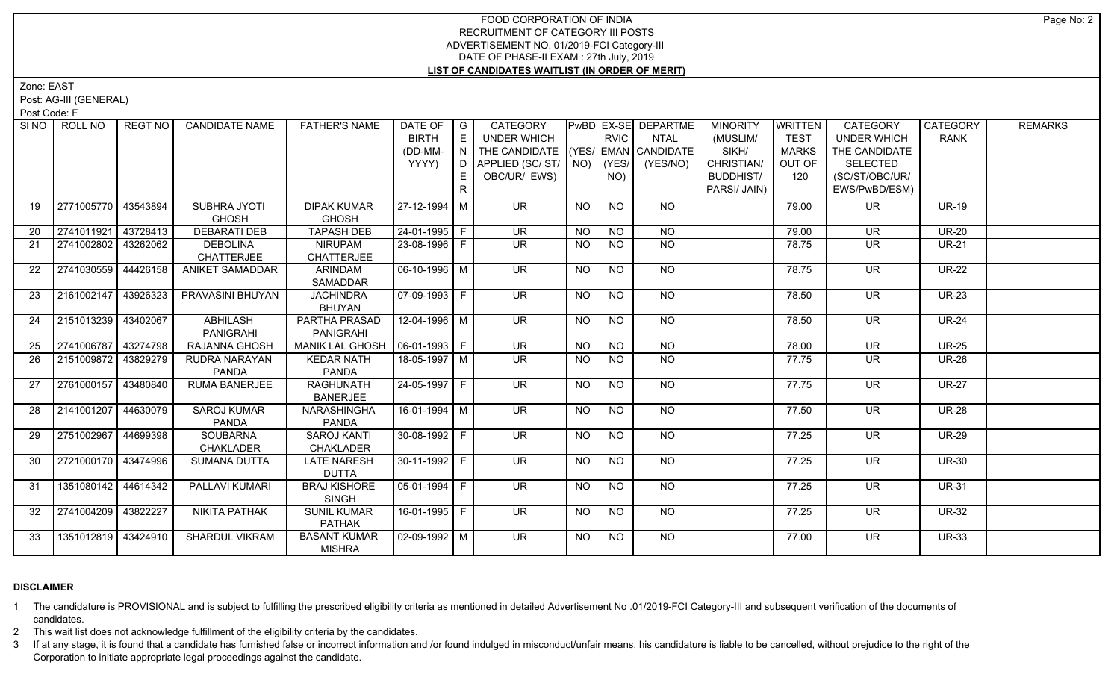# FOOD CORPORATION OF INDIA RECRUITMENT OF CATEGORY III POSTS ADVERTISEMENT NO. 01/2019-FCI Category-III DATE OF PHASE-II EXAM : 27th July, 2019 **LIST OF CANDIDATES WAITLIST (IN ORDER OF MERIT)**

Zone: EAST

Post: AG-III (GENERAL)

Post Code: F

| SI <sub>NO</sub> | ROLL NO             | <b>REGT NO</b> | <b>CANDIDATE NAME</b>  | <b>FATHER'S NAME</b>                | DATE OF                      | $\overline{\phantom{a}}$ G                          | <b>CATEGORY</b>                    |                |             | PwBD EX-SE DEPARTME | <b>MINORITY</b>  | WRITTEN      | CATEGORY                 | <b>CATEGORY</b> | <b>REMARKS</b> |
|------------------|---------------------|----------------|------------------------|-------------------------------------|------------------------------|-----------------------------------------------------|------------------------------------|----------------|-------------|---------------------|------------------|--------------|--------------------------|-----------------|----------------|
|                  |                     |                |                        |                                     | <b>BIRTH</b>                 | E                                                   | UNDER WHICH                        |                | <b>RVIC</b> | <b>NTAL</b>         | (MUSLIM/         | <b>TEST</b>  | <b>UNDER WHICH</b>       | <b>RANK</b>     |                |
|                  |                     |                |                        |                                     | (DD-MM-                      | $\overline{\phantom{a}}$ N $\overline{\phantom{a}}$ | THE CANDIDATE (YES/ EMAN CANDIDATE |                |             |                     | SIKH/            | <b>MARKS</b> | THE CANDIDATE            |                 |                |
|                  |                     |                |                        |                                     | YYYY)                        |                                                     | D APPLIED (SC/ ST/   NO)           |                | $ $ (YES/   | (YES/NO)            | CHRISTIAN/       | OUT OF       | <b>SELECTED</b>          |                 |                |
|                  |                     |                |                        |                                     |                              | E.                                                  | OBC/UR/ EWS)                       |                | NO)         |                     | <b>BUDDHIST/</b> | 120          | (SC/ST/OBC/UR/           |                 |                |
|                  |                     |                |                        |                                     |                              | R                                                   |                                    |                |             |                     | PARSI/ JAIN)     |              | EWS/PwBD/ESM)            |                 |                |
| 19               | 2771005770 43543894 |                | SUBHRA JYOTI           | <b>DIPAK KUMAR</b>                  | 27-12-1994   M               |                                                     | <b>UR</b>                          | NO             | <b>NO</b>   | NO                  |                  | 79.00        | <b>UR</b>                | <b>UR-19</b>    |                |
|                  |                     |                | <b>GHOSH</b>           | <b>GHOSH</b>                        |                              |                                                     |                                    |                |             |                     |                  |              |                          |                 |                |
| 20               | 2741011921 43728413 |                | <b>DEBARATI DEB</b>    | <b>TAPASH DEB</b>                   | 24-01-1995 F                 |                                                     | <b>UR</b>                          | <b>NO</b>      | <b>NO</b>   | <b>NO</b>           |                  | 79.00        | <b>UR</b>                | $UR-20$         |                |
| 21               | 2741002802          | 43262062       | <b>DEBOLINA</b>        | <b>NIRUPAM</b>                      | $23 - 08 - 1996$ F           |                                                     | $\overline{\mathsf{UR}}$           | <b>NO</b>      | <b>NO</b>   | <b>NO</b>           |                  | 78.75        | <b>UR</b>                | <b>UR-21</b>    |                |
|                  |                     |                | <b>CHATTERJEE</b>      | <b>CHATTERJEE</b>                   |                              |                                                     |                                    |                |             |                     |                  |              |                          |                 |                |
| 22               | 2741030559 44426158 |                | <b>ANIKET SAMADDAR</b> | ARINDAM                             | 06-10-1996 M                 |                                                     | UR <sup>1</sup>                    | NO             | <b>NO</b>   | $N$ <sup>O</sup>    |                  | 78.75        | $\overline{\mathsf{UR}}$ | $UR-22$         |                |
|                  |                     |                |                        | SAMADDAR                            |                              |                                                     |                                    |                |             |                     |                  |              |                          |                 |                |
| 23               | 2161002147 43926323 |                | PRAVASINI BHUYAN       | <b>JACHINDRA</b>                    | 07-09-1993 F                 |                                                     | UR.                                | NO.            | <b>NO</b>   | NO                  |                  | 78.50        | <b>UR</b>                | <b>UR-23</b>    |                |
|                  |                     |                |                        | <b>BHUYAN</b>                       |                              |                                                     |                                    |                |             |                     |                  |              |                          |                 |                |
| 24               | 2151013239 43402067 |                | <b>ABHILASH</b>        | PARTHA PRASAD                       | $12 - 04 - 1996$ M           |                                                     | $\overline{\mathsf{UR}}$           | <b>NO</b>      | <b>NO</b>   | $N$ <sup>O</sup>    |                  | 78.50        | $\overline{\mathsf{UR}}$ | $UR-24$         |                |
|                  |                     |                | PANIGRAHI              | PANIGRAHI                           |                              |                                                     |                                    |                |             |                     |                  |              |                          |                 |                |
| 25               | 2741006787 43274798 |                | RAJANNA GHOSH          | <b>MANIK LAL GHOSH</b>              | $\boxed{06-01-1993}$ F       |                                                     | $\overline{\mathsf{UR}}$           | N <sub>O</sub> | $N$ O       | $N$ <sup>O</sup>    |                  | 78.00        | <b>UR</b>                | <b>UR-25</b>    |                |
| 26               | 2151009872 43829279 |                | RUDRA NARAYAN          | <b>KEDAR NATH</b>                   | 18-05-1997   M               |                                                     | UR                                 | <b>NO</b>      | NO.         | NO.                 |                  | 77.75        | <b>UR</b>                | <b>UR-26</b>    |                |
|                  |                     |                | <b>PANDA</b>           | PANDA                               |                              |                                                     |                                    |                |             |                     |                  |              |                          |                 |                |
| 27               | 2761000157 43480840 |                | RUMA BANERJEE          | <b>RAGHUNATH</b><br><b>BANERJEE</b> | $24 - 05 - 1997$ F           |                                                     | <b>UR</b>                          | <b>NO</b>      | <b>NO</b>   | <b>NO</b>           |                  | 77.75        | <b>UR</b>                | <b>UR-27</b>    |                |
| 28               | 2141001207 44630079 |                | <b>SAROJ KUMAR</b>     | NARASHINGHA                         | $16 - 01 - 1994$ M           |                                                     | $\overline{\mathsf{UR}}$           | NO.            | <b>NO</b>   | <b>NO</b>           |                  | 77.50        | <b>UR</b>                | <b>UR-28</b>    |                |
|                  |                     |                | PANDA                  | PANDA                               |                              |                                                     |                                    |                |             |                     |                  |              |                          |                 |                |
| 29               | 2751002967 44699398 |                | <b>SOUBARNA</b>        | <b>SAROJ KANTI</b>                  | $30-08-1992$ F               |                                                     | UR.                                | <b>NO</b>      | <b>NO</b>   | <b>NO</b>           |                  | 77.25        | <b>UR</b>                | <b>UR-29</b>    |                |
|                  |                     |                | CHAKLADER              | CHAKLADER                           |                              |                                                     |                                    |                |             |                     |                  |              |                          |                 |                |
| 30               | 2721000170 43474996 |                | <b>SUMANA DUTTA</b>    | <b>LATE NARESH</b>                  | 30-11-1992   F               |                                                     | UR.                                | <b>NO</b>      | NO.         | NO                  |                  | 77.25        | <b>UR</b>                | <b>UR-30</b>    |                |
|                  |                     |                |                        | <b>DUTTA</b>                        |                              |                                                     |                                    |                |             |                     |                  |              |                          |                 |                |
| 31               | 1351080142 44614342 |                | PALLAVI KUMARI         | <b>BRAJ KISHORE</b>                 | $ 05 - 01 - 1994 $ F         |                                                     | $\overline{\mathsf{UR}}$           | <b>NO</b>      | <b>NO</b>   | $N$ <sup>O</sup>    |                  | 77.25        | $\overline{\mathsf{UR}}$ | <b>UR-31</b>    |                |
|                  |                     |                |                        | <b>SINGH</b>                        |                              |                                                     |                                    |                |             |                     |                  |              |                          |                 |                |
| 32               | 2741004209 43822227 |                | <b>NIKITA PATHAK</b>   | <b>SUNIL KUMAR</b>                  | 16-01-1995 F                 |                                                     | <b>UR</b>                          | NO             | <b>NO</b>   | NO                  |                  | 77.25        | UR.                      | <b>UR-32</b>    |                |
|                  |                     |                |                        | <b>PATHAK</b>                       |                              |                                                     |                                    |                |             |                     |                  |              |                          |                 |                |
| 33               | 1351012819 43424910 |                | <b>SHARDUL VIKRAM</b>  | <b>BASANT KUMAR</b>                 | $\vert$ 02-09-1992 $\vert$ M |                                                     | $\overline{\mathsf{UR}}$           | NO.            | NO.         | <b>NO</b>           |                  | 77.00        | UR.                      | <b>UR-33</b>    |                |
|                  |                     |                |                        | <b>MISHRA</b>                       |                              |                                                     |                                    |                |             |                     |                  |              |                          |                 |                |

# **DISCLAIMER**

1 The candidature is PROVISIONAL and is subject to fulfilling the prescribed eligibility criteria as mentioned in detailed Advertisement No .01/2019-FCI Category-III and subsequent verification of the documents of candidates.

2 This wait list does not acknowledge fulfillment of the eligibility criteria by the candidates.

3 If at any stage, it is found that a candidate has furnished false or incorrect information and /or found indulged in misconduct/unfair means, his candidature is liable to be cancelled, without prejudice to the right of t Corporation to initiate appropriate legal proceedings against the candidate.

Page No: 2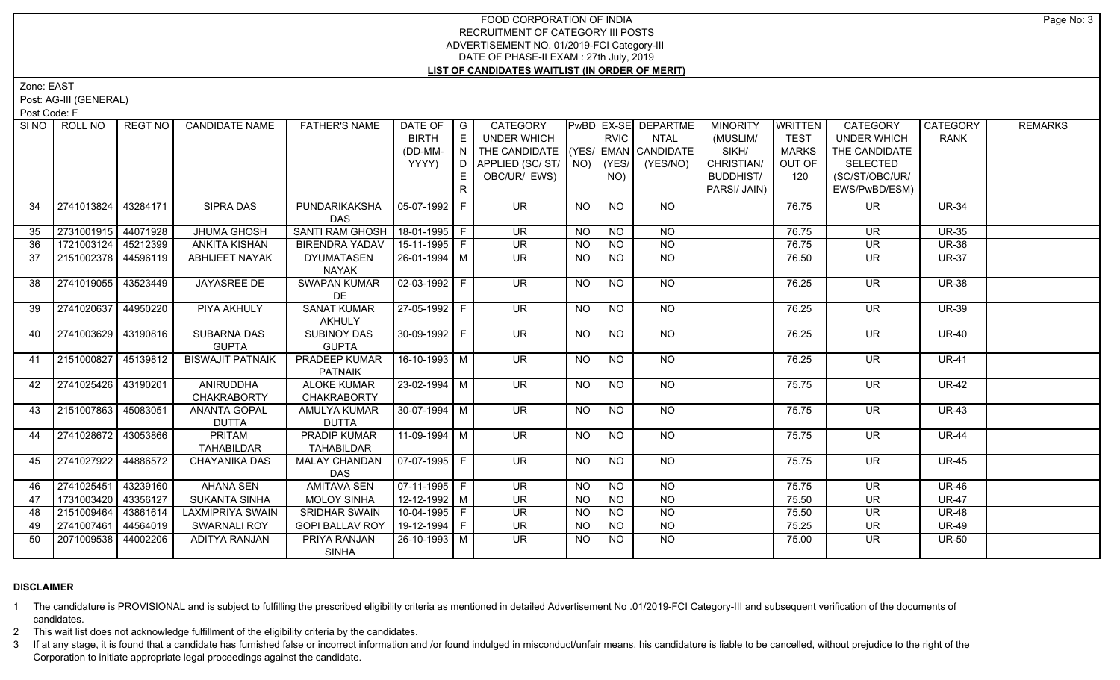# FOOD CORPORATION OF INDIA RECRUITMENT OF CATEGORY III POSTS ADVERTISEMENT NO. 01/2019-FCI Category-III DATE OF PHASE-II EXAM : 27th July, 2019 **LIST OF CANDIDATES WAITLIST (IN ORDER OF MERIT)**

Zone: EAST

Post: AG-III (GENERAL)

Post Code: F

|    | SINO ROLL NO        | REGT NO  | <b>CANDIDATE NAME</b>              | <b>FATHER'S NAME</b>                     | DATE OF   G<br><b>BIRTH</b> | E              | CATEGORY<br><b>UNDER WHICH</b>     |           | <b>RVIC</b>     | PwBD EX-SE DEPARTME<br><b>NTAL</b> | <b>MINORITY</b><br>(MUSLIM/ | <b>WRITTEN</b><br><b>TEST</b> | CATEGORY<br><b>UNDER WHICH</b> | <b>CATEGORY</b><br><b>RANK</b> | <b>REMARKS</b> |
|----|---------------------|----------|------------------------------------|------------------------------------------|-----------------------------|----------------|------------------------------------|-----------|-----------------|------------------------------------|-----------------------------|-------------------------------|--------------------------------|--------------------------------|----------------|
|    |                     |          |                                    |                                          | (DD-MM-                     |                | THE CANDIDATE (YES/ EMAN CANDIDATE |           |                 |                                    | SIKH/                       | <b>MARKS</b>                  | THE CANDIDATE                  |                                |                |
|    |                     |          |                                    |                                          | YYYY)                       | D <sub>1</sub> | APPLIED (SC/ ST/   NO)   (YES/     |           |                 | (YES/NO)                           | CHRISTIAN/                  | OUT OF                        | <b>SELECTED</b>                |                                |                |
|    |                     |          |                                    |                                          |                             | E.             | OBC/UR/ EWS)                       |           | NO)             |                                    | <b>BUDDHIST/</b>            | 120                           | (SC/ST/OBC/UR/                 |                                |                |
|    |                     |          |                                    |                                          |                             | R.             |                                    |           |                 |                                    | PARSI/ JAIN)                |                               | EWS/PwBD/ESM)                  |                                |                |
| 34 | 2741013824          | 43284171 | <b>SIPRA DAS</b>                   | PUNDARIKAKSHA                            | $05-07-1992$ F              |                | <b>UR</b>                          | <b>NO</b> | <b>NO</b>       | NO                                 |                             | 76.75                         | UR.                            | <b>UR-34</b>                   |                |
|    |                     |          |                                    | <b>DAS</b>                               |                             |                |                                    |           |                 |                                    |                             |                               |                                |                                |                |
| 35 | 2731001915 44071928 |          | <b>JHUMA GHOSH</b>                 | <b>SANTI RAM GHOSH</b>                   | 18-01-1995   F              |                | $\overline{\mathsf{UR}}$           | <b>NO</b> | <b>NO</b>       | <b>NO</b>                          |                             | 76.75                         | <b>UR</b>                      | <b>UR-35</b>                   |                |
| 36 | 1721003124 45212399 |          | <b>ANKITA KISHAN</b>               | <b>BIRENDRA YADAV</b>                    | 15-11-1995 F                |                | <b>UR</b>                          | <b>NO</b> | <b>NO</b>       | <b>NO</b>                          |                             | 76.75                         | <b>UR</b>                      | <b>UR-36</b>                   |                |
| 37 | 2151002378 44596119 |          | <b>ABHIJEET NAYAK</b>              | <b>DYUMATASEN</b><br>NAYAK               | 26-01-1994 M                |                | $\overline{\mathsf{UR}}$           | <b>NO</b> | $\overline{NQ}$ | $\overline{NQ}$                    |                             | 76.50                         | <b>UR</b>                      | <b>UR-37</b>                   |                |
| 38 | 2741019055 43523449 |          | <b>JAYASREE DE</b>                 | <b>SWAPAN KUMAR</b><br>DE                | $02-03-1992$ F              |                | $\overline{\mathsf{UR}}$           | <b>NO</b> | $\overline{NO}$ | $N$ <sup>O</sup>                   |                             | 76.25                         | $\overline{\mathsf{UR}}$       | <b>UR-38</b>                   |                |
| 39 | 2741020637          | 44950220 | PIYA AKHULY                        | <b>SANAT KUMAR</b>                       | 27-05-1992 F                |                | <b>UR</b>                          | NO        | <b>NO</b>       | NO                                 |                             | 76.25                         | UR                             | <b>UR-39</b>                   |                |
|    |                     |          |                                    | <b>AKHULY</b>                            |                             |                |                                    |           |                 |                                    |                             |                               |                                |                                |                |
| 40 | 2741003629          | 43190816 | <b>SUBARNA DAS</b>                 | <b>SUBINOY DAS</b>                       | 30-09-1992 F                |                | $\overline{\mathsf{UR}}$           | <b>NO</b> | <b>NO</b>       | NO                                 |                             | 76.25                         | UR.                            | <b>UR-40</b>                   |                |
|    |                     |          | <b>GUPTA</b>                       | <b>GUPTA</b>                             |                             |                |                                    |           |                 |                                    |                             |                               |                                |                                |                |
| 41 | 2151000827          | 45139812 | <b>BISWAJIT PATNAIK</b>            | <b>PRADEEP KUMAR</b>                     | 16-10-1993 M                |                | UR                                 | <b>NO</b> | N <sub>O</sub>  | NO                                 |                             | 76.25                         | $\overline{\mathsf{UR}}$       | <b>UR-41</b>                   |                |
|    |                     |          |                                    | <b>PATNAIK</b>                           |                             |                |                                    |           |                 |                                    |                             |                               |                                |                                |                |
| 42 | 2741025426 43190201 |          | ANIRUDDHA                          | <b>ALOKE KUMAR</b>                       | 23-02-1994 M                |                | <b>UR</b>                          | <b>NO</b> | <b>NO</b>       | <b>NO</b>                          |                             | 75.75                         | <b>UR</b>                      | <b>UR-42</b>                   |                |
|    |                     |          | <b>CHAKRABORTY</b>                 | <b>CHAKRABORTY</b>                       |                             |                |                                    |           |                 |                                    |                             |                               |                                |                                |                |
| 43 | 2151007863 45083051 |          | <b>ANANTA GOPAL</b>                | <b>AMULYA KUMAR</b>                      | $30-07-1994$ M              |                | $\overline{\mathsf{UR}}$           | <b>NO</b> | $\overline{NQ}$ | $N$ <sup>O</sup>                   |                             | 75.75                         | $\overline{\mathsf{UR}}$       | $UR-43$                        |                |
|    |                     |          | <b>DUTTA</b>                       | <b>DUTTA</b>                             |                             |                |                                    |           |                 |                                    |                             |                               |                                |                                |                |
| 44 | 2741028672 43053866 |          | <b>PRITAM</b><br><b>TAHABILDAR</b> | <b>PRADIP KUMAR</b><br><b>TAHABILDAR</b> | $11-09-1994$ M              |                | <b>UR</b>                          | <b>NO</b> | <b>NO</b>       | $N$ <sup>O</sup>                   |                             | 75.75                         | <b>UR</b>                      | <b>UR-44</b>                   |                |
| 45 | 2741027922          | 44886572 | <b>CHAYANIKA DAS</b>               | <b>MALAY CHANDAN</b>                     | 07-07-1995 F                |                | <b>UR</b>                          | <b>NO</b> | $N$ O           | $N$ O                              |                             | 75.75                         | <b>UR</b>                      | <b>UR-45</b>                   |                |
|    |                     |          |                                    | DAS                                      |                             |                |                                    |           |                 |                                    |                             |                               |                                |                                |                |
| 46 | 2741025451          | 43239160 | <b>AHANA SEN</b>                   | <b>AMITAVA SEN</b>                       | $\boxed{07-11-1995}$ F      |                | $\overline{\mathsf{UR}}$           | $N$ O     | N <sub>O</sub>  | $N$ O                              |                             | 75.75                         | $\overline{\mathsf{UR}}$       | <b>UR-46</b>                   |                |
| 47 | 1731003420          | 43356127 | <b>SUKANTA SINHA</b>               | <b>MOLOY SINHA</b>                       | $12 - 12 - 1992$ M          |                | <b>UR</b>                          | <b>NO</b> | N <sub>O</sub>  | N <sub>O</sub>                     |                             | 75.50                         | $\overline{\mathsf{UR}}$       | <b>UR-47</b>                   |                |
| 48 | 2151009464          | 43861614 | <b>LAXMIPRIYA SWAIN</b>            | <b>SRIDHAR SWAIN</b>                     | 10-04-1995 F                |                | <b>UR</b>                          | <b>NO</b> | <b>NO</b>       | $N$ O                              |                             | 75.50                         | <b>UR</b>                      | <b>UR-48</b>                   |                |
| 49 | 2741007461          | 44564019 | <b>SWARNALI ROY</b>                | <b>GOPI BALLAV ROY</b>                   | 19-12-1994 F                |                | <b>UR</b>                          | <b>NO</b> | <b>NO</b>       | N <sub>O</sub>                     |                             | 75.25                         | <b>UR</b>                      | <b>UR-49</b>                   |                |
| 50 | 2071009538          | 44002206 | ADITYA RANJAN                      | PRIYA RANJAN                             | 26-10-1993 M                |                | UR.                                | NO.       | NO.             | N <sub>O</sub>                     |                             | 75.00                         | UR.                            | <b>UR-50</b>                   |                |
|    |                     |          |                                    | <b>SINHA</b>                             |                             |                |                                    |           |                 |                                    |                             |                               |                                |                                |                |

# **DISCLAIMER**

1 The candidature is PROVISIONAL and is subject to fulfilling the prescribed eligibility criteria as mentioned in detailed Advertisement No .01/2019-FCI Category-III and subsequent verification of the documents of candidates.

2 This wait list does not acknowledge fulfillment of the eligibility criteria by the candidates.

3 If at any stage, it is found that a candidate has furnished false or incorrect information and /or found indulged in misconduct/unfair means, his candidature is liable to be cancelled, without prejudice to the right of t Corporation to initiate appropriate legal proceedings against the candidate.

Page No: 3